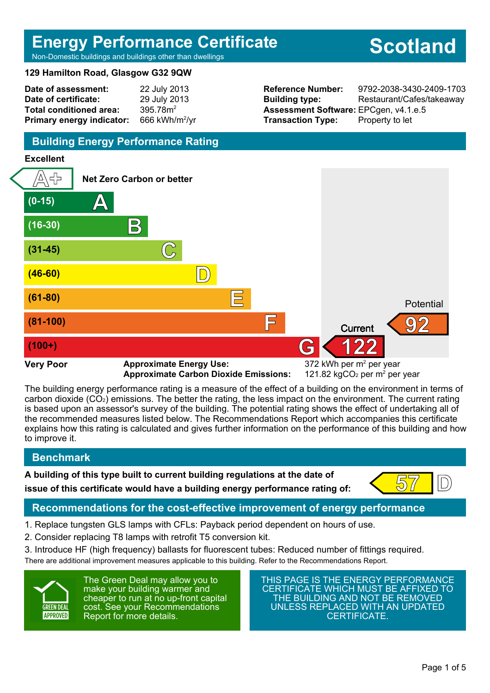# **Energy Performance Certificate**

**Scotland**

Non-Domestic buildings and buildings other than dwellings

#### **129 Hamilton Road, Glasgow G32 9QW**

| Date of assessment:              | 22 July 2013               |
|----------------------------------|----------------------------|
| Date of certificate:             | 29 July 2013               |
| <b>Total conditioned area:</b>   | 395.78m <sup>2</sup>       |
| <b>Primary energy indicator:</b> | 666 kWh/m <sup>2</sup> /yr |

**Assessment Software:** EPCgen, v4.1.e.5 **Transaction Type:** Property to let

**Reference Number:** 9792-2038-3430-2409-1703 **Building type:** Restaurant/Cafes/takeaway

# **Building Energy Performance Rating**

#### **Excellent**



**Approximate Carbon Dioxide Emissions:** 

121.82 kgCO<sub>2</sub> per  $m<sup>2</sup>$  per year

The building energy performance rating is a measure of the effect of a building on the environment in terms of carbon dioxide (CO2) emissions. The better the rating, the less impact on the environment. The current rating is based upon an assessor's survey of the building. The potential rating shows the effect of undertaking all of the recommended measures listed below. The Recommendations Report which accompanies this certificate explains how this rating is calculated and gives further information on the performance of this building and how to improve it.

# **Benchmark**

**A building of this type built to current building regulations at the date of**



**issue of this certificate would have a building energy performance rating of:**  $\left( \frac{57}{20} \right)$ 

# **Recommendations for the cost-effective improvement of energy performance**

- 1. Replace tungsten GLS lamps with CFLs: Payback period dependent on hours of use.
- 2. Consider replacing T8 lamps with retrofit T5 conversion kit.

3. Introduce HF (high frequency) ballasts for fluorescent tubes: Reduced number of fittings required. There are additional improvement measures applicable to this building. Refer to the Recommendations Report.



The Green Deal may allow you to make your building warmer and cheaper to run at no up-front capital cost. See your Recommendations Report for more details.

THIS PAGE IS THE ENERGY PERFORMANCE CERTIFICATE WHICH MUST BE AFFIXED TO THE BUILDING AND NOT BE REMOVED UNLESS REPLACED WITH AN UPDATED CERTIFICATE.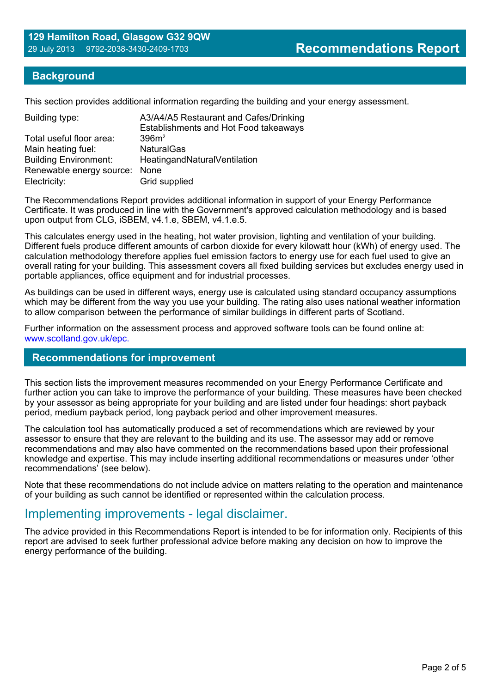### **Background**

This section provides additional information regarding the building and your energy assessment.

| A3/A4/A5 Restaurant and Cafes/Drinking<br>Establishments and Hot Food takeaways |
|---------------------------------------------------------------------------------|
| 396m <sup>2</sup>                                                               |
| <b>NaturalGas</b>                                                               |
| HeatingandNaturalVentilation                                                    |
| Renewable energy source:<br>None                                                |
| Grid supplied                                                                   |
|                                                                                 |

The Recommendations Report provides additional information in support of your Energy Performance Certificate. It was produced in line with the Government's approved calculation methodology and is based upon output from CLG, iSBEM, v4.1.e, SBEM, v4.1.e.5.

This calculates energy used in the heating, hot water provision, lighting and ventilation of your building. Different fuels produce different amounts of carbon dioxide for every kilowatt hour (kWh) of energy used. The calculation methodology therefore applies fuel emission factors to energy use for each fuel used to give an overall rating for your building. This assessment covers all fixed building services but excludes energy used in portable appliances, office equipment and for industrial processes.

As buildings can be used in different ways, energy use is calculated using standard occupancy assumptions which may be different from the way you use your building. The rating also uses national weather information to allow comparison between the performance of similar buildings in different parts of Scotland.

Further information on the assessment process and approved software tools can be found online at: www.scotland.gov.uk/epc.

#### **Recommendations for improvement**

This section lists the improvement measures recommended on your Energy Performance Certificate and further action you can take to improve the performance of your building. These measures have been checked by your assessor as being appropriate for your building and are listed under four headings: short payback period, medium payback period, long payback period and other improvement measures.

The calculation tool has automatically produced a set of recommendations which are reviewed by your assessor to ensure that they are relevant to the building and its use. The assessor may add or remove recommendations and may also have commented on the recommendations based upon their professional knowledge and expertise. This may include inserting additional recommendations or measures under 'other recommendations' (see below).

Note that these recommendations do not include advice on matters relating to the operation and maintenance of your building as such cannot be identified or represented within the calculation process.

# Implementing improvements - legal disclaimer.

The advice provided in this Recommendations Report is intended to be for information only. Recipients of this report are advised to seek further professional advice before making any decision on how to improve the energy performance of the building.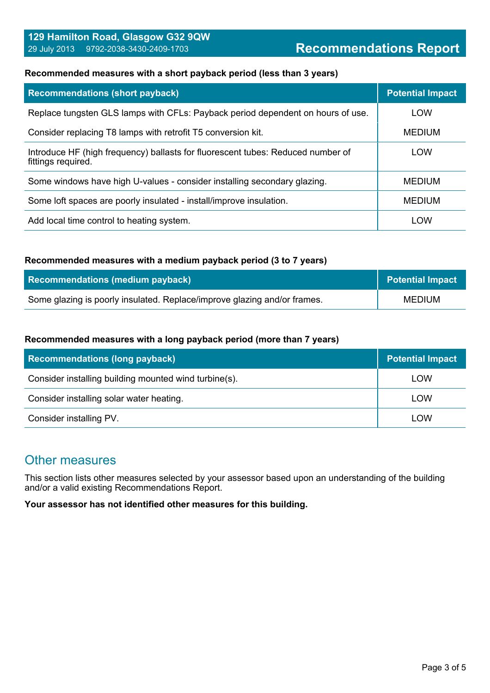#### **Recommended measures with a short payback period (less than 3 years)**

| <b>Recommendations (short payback)</b>                                                                | <b>Potential Impact</b> |
|-------------------------------------------------------------------------------------------------------|-------------------------|
| Replace tungsten GLS lamps with CFLs: Payback period dependent on hours of use.                       | <b>LOW</b>              |
| Consider replacing T8 lamps with retrofit T5 conversion kit.                                          | <b>MEDIUM</b>           |
| Introduce HF (high frequency) ballasts for fluorescent tubes: Reduced number of<br>fittings required. | LOW                     |
| Some windows have high U-values - consider installing secondary glazing.                              | <b>MEDIUM</b>           |
| Some loft spaces are poorly insulated - install/improve insulation.                                   | <b>MEDIUM</b>           |
| Add local time control to heating system.                                                             | LOW                     |

#### **Recommended measures with a medium payback period (3 to 7 years)**

| Recommendations (medium payback)                                         | <b>Potential Impact</b> |
|--------------------------------------------------------------------------|-------------------------|
| Some glazing is poorly insulated. Replace/improve glazing and/or frames. | <b>MEDIUM</b>           |

#### **Recommended measures with a long payback period (more than 7 years)**

| <b>Recommendations (long payback)</b>                 | <b>Potential Impact</b> |
|-------------------------------------------------------|-------------------------|
| Consider installing building mounted wind turbine(s). | LOW                     |
| Consider installing solar water heating.              | LOW                     |
| Consider installing PV.                               | LOW                     |

# Other measures

This section lists other measures selected by your assessor based upon an understanding of the building and/or a valid existing Recommendations Report.

**Your assessor has not identified other measures for this building.**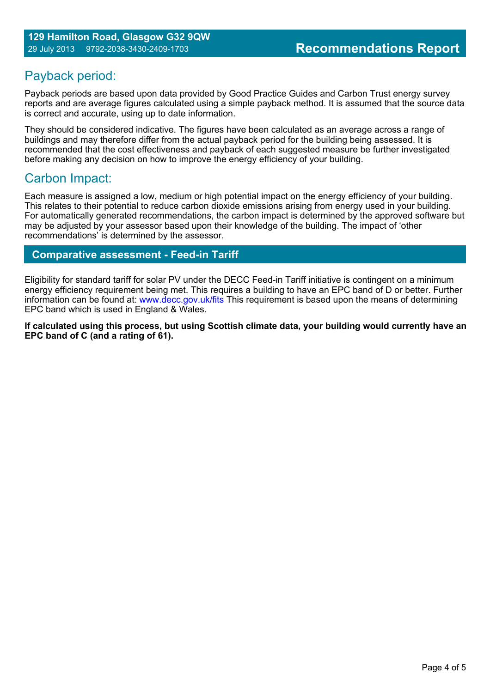# Payback period:

Payback periods are based upon data provided by Good Practice Guides and Carbon Trust energy survey reports and are average figures calculated using a simple payback method. It is assumed that the source data is correct and accurate, using up to date information.

They should be considered indicative. The figures have been calculated as an average across a range of buildings and may therefore differ from the actual payback period for the building being assessed. It is recommended that the cost effectiveness and payback of each suggested measure be further investigated before making any decision on how to improve the energy efficiency of your building.

# Carbon Impact:

Each measure is assigned a low, medium or high potential impact on the energy efficiency of your building. This relates to their potential to reduce carbon dioxide emissions arising from energy used in your building. For automatically generated recommendations, the carbon impact is determined by the approved software but may be adjusted by your assessor based upon their knowledge of the building. The impact of 'other recommendations' is determined by the assessor.

# **Comparative assessment - Feed-in Tariff**

Eligibility for standard tariff for solar PV under the DECC Feed-in Tariff initiative is contingent on a minimum energy efficiency requirement being met. This requires a building to have an EPC band of D or better. Further information can be found at: www.decc.gov.uk/fits This requirement is based upon the means of determining EPC band which is used in England & Wales.

**If calculated using this process, but using Scottish climate data, your building would currently have an EPC band of C (and a rating of 61).**